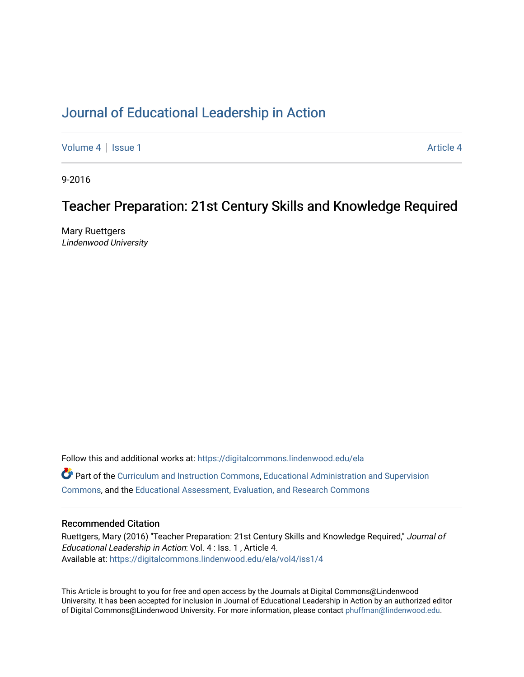### [Journal of Educational Leadership in Action](https://digitalcommons.lindenwood.edu/ela)

[Volume 4](https://digitalcommons.lindenwood.edu/ela/vol4) | [Issue 1](https://digitalcommons.lindenwood.edu/ela/vol4/iss1) [Article 4](https://digitalcommons.lindenwood.edu/ela/vol4/iss1/4) | Article 4 Article 4 | Article 4 Article 4 | Article 4 | Article 4 | Article 4 |

9-2016

### Teacher Preparation: 21st Century Skills and Knowledge Required

Mary Ruettgers Lindenwood University

Follow this and additional works at: [https://digitalcommons.lindenwood.edu/ela](https://digitalcommons.lindenwood.edu/ela?utm_source=digitalcommons.lindenwood.edu%2Fela%2Fvol4%2Fiss1%2F4&utm_medium=PDF&utm_campaign=PDFCoverPages)  Part of the [Curriculum and Instruction Commons,](http://network.bepress.com/hgg/discipline/786?utm_source=digitalcommons.lindenwood.edu%2Fela%2Fvol4%2Fiss1%2F4&utm_medium=PDF&utm_campaign=PDFCoverPages) [Educational Administration and Supervision](http://network.bepress.com/hgg/discipline/787?utm_source=digitalcommons.lindenwood.edu%2Fela%2Fvol4%2Fiss1%2F4&utm_medium=PDF&utm_campaign=PDFCoverPages)  [Commons](http://network.bepress.com/hgg/discipline/787?utm_source=digitalcommons.lindenwood.edu%2Fela%2Fvol4%2Fiss1%2F4&utm_medium=PDF&utm_campaign=PDFCoverPages), and the [Educational Assessment, Evaluation, and Research Commons](http://network.bepress.com/hgg/discipline/796?utm_source=digitalcommons.lindenwood.edu%2Fela%2Fvol4%2Fiss1%2F4&utm_medium=PDF&utm_campaign=PDFCoverPages)

#### Recommended Citation

Ruettgers, Mary (2016) "Teacher Preparation: 21st Century Skills and Knowledge Required," Journal of Educational Leadership in Action: Vol. 4 : Iss. 1 , Article 4. Available at: [https://digitalcommons.lindenwood.edu/ela/vol4/iss1/4](https://digitalcommons.lindenwood.edu/ela/vol4/iss1/4?utm_source=digitalcommons.lindenwood.edu%2Fela%2Fvol4%2Fiss1%2F4&utm_medium=PDF&utm_campaign=PDFCoverPages) 

This Article is brought to you for free and open access by the Journals at Digital Commons@Lindenwood University. It has been accepted for inclusion in Journal of Educational Leadership in Action by an authorized editor of Digital Commons@Lindenwood University. For more information, please contact [phuffman@lindenwood.edu](mailto:phuffman@lindenwood.edu).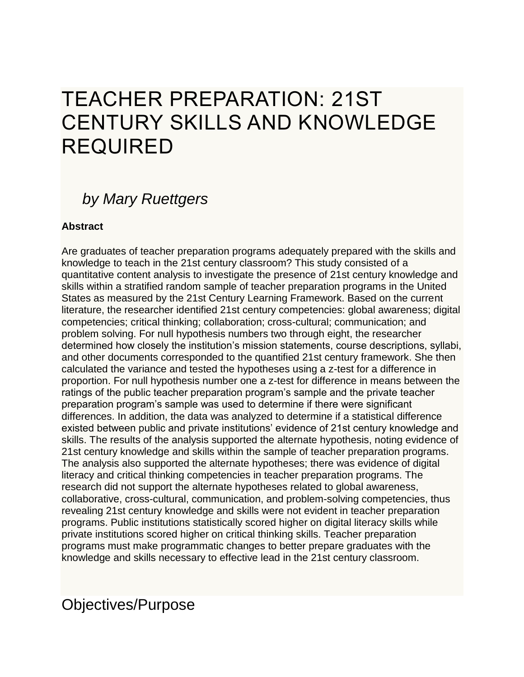# TEACHER PREPARATION: 21ST CENTURY SKILLS AND KNOWLEDGE REQUIRED

# *by Mary Ruettgers*

### **Abstract**

Are graduates of teacher preparation programs adequately prepared with the skills and knowledge to teach in the 21st century classroom? This study consisted of a quantitative content analysis to investigate the presence of 21st century knowledge and skills within a stratified random sample of teacher preparation programs in the United States as measured by the 21st Century Learning Framework. Based on the current literature, the researcher identified 21st century competencies: global awareness; digital competencies; critical thinking; collaboration; cross-cultural; communication; and problem solving. For null hypothesis numbers two through eight, the researcher determined how closely the institution's mission statements, course descriptions, syllabi, and other documents corresponded to the quantified 21st century framework. She then calculated the variance and tested the hypotheses using a z-test for a difference in proportion. For null hypothesis number one a z-test for difference in means between the ratings of the public teacher preparation program's sample and the private teacher preparation program's sample was used to determine if there were significant differences. In addition, the data was analyzed to determine if a statistical difference existed between public and private institutions' evidence of 21st century knowledge and skills. The results of the analysis supported the alternate hypothesis, noting evidence of 21st century knowledge and skills within the sample of teacher preparation programs. The analysis also supported the alternate hypotheses; there was evidence of digital literacy and critical thinking competencies in teacher preparation programs. The research did not support the alternate hypotheses related to global awareness, collaborative, cross-cultural, communication, and problem-solving competencies, thus revealing 21st century knowledge and skills were not evident in teacher preparation programs. Public institutions statistically scored higher on digital literacy skills while private institutions scored higher on critical thinking skills. Teacher preparation programs must make programmatic changes to better prepare graduates with the knowledge and skills necessary to effective lead in the 21st century classroom.

### Objectives/Purpose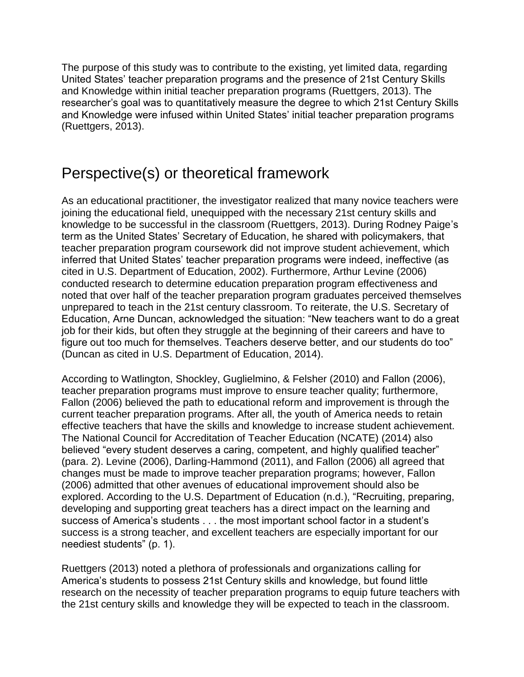The purpose of this study was to contribute to the existing, yet limited data, regarding United States' teacher preparation programs and the presence of 21st Century Skills and Knowledge within initial teacher preparation programs (Ruettgers, 2013). The researcher's goal was to quantitatively measure the degree to which 21st Century Skills and Knowledge were infused within United States' initial teacher preparation programs (Ruettgers, 2013).

## Perspective(s) or theoretical framework

As an educational practitioner, the investigator realized that many novice teachers were joining the educational field, unequipped with the necessary 21st century skills and knowledge to be successful in the classroom (Ruettgers, 2013). During Rodney Paige's term as the United States' Secretary of Education, he shared with policymakers, that teacher preparation program coursework did not improve student achievement, which inferred that United States' teacher preparation programs were indeed, ineffective (as cited in U.S. Department of Education, 2002). Furthermore, Arthur Levine (2006) conducted research to determine education preparation program effectiveness and noted that over half of the teacher preparation program graduates perceived themselves unprepared to teach in the 21st century classroom. To reiterate, the U.S. Secretary of Education, Arne Duncan, acknowledged the situation: "New teachers want to do a great job for their kids, but often they struggle at the beginning of their careers and have to figure out too much for themselves. Teachers deserve better, and our students do too" (Duncan as cited in U.S. Department of Education, 2014).

According to Watlington, Shockley, Guglielmino, & Felsher (2010) and Fallon (2006), teacher preparation programs must improve to ensure teacher quality; furthermore, Fallon (2006) believed the path to educational reform and improvement is through the current teacher preparation programs. After all, the youth of America needs to retain effective teachers that have the skills and knowledge to increase student achievement. The National Council for Accreditation of Teacher Education (NCATE) (2014) also believed "every student deserves a caring, competent, and highly qualified teacher" (para. 2). Levine (2006), Darling-Hammond (2011), and Fallon (2006) all agreed that changes must be made to improve teacher preparation programs; however, Fallon (2006) admitted that other avenues of educational improvement should also be explored. According to the U.S. Department of Education (n.d.), "Recruiting, preparing, developing and supporting great teachers has a direct impact on the learning and success of America's students . . . the most important school factor in a student's success is a strong teacher, and excellent teachers are especially important for our neediest students" (p. 1).

Ruettgers (2013) noted a plethora of professionals and organizations calling for America's students to possess 21st Century skills and knowledge, but found little research on the necessity of teacher preparation programs to equip future teachers with the 21st century skills and knowledge they will be expected to teach in the classroom.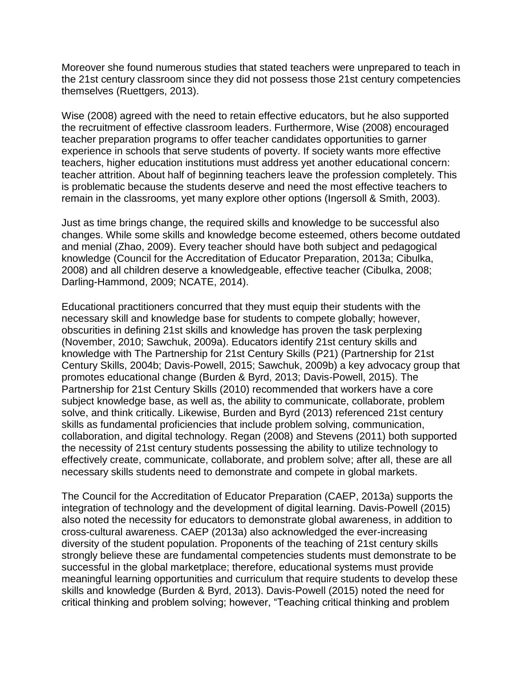Moreover she found numerous studies that stated teachers were unprepared to teach in the 21st century classroom since they did not possess those 21st century competencies themselves (Ruettgers, 2013).

Wise (2008) agreed with the need to retain effective educators, but he also supported the recruitment of effective classroom leaders. Furthermore, Wise (2008) encouraged teacher preparation programs to offer teacher candidates opportunities to garner experience in schools that serve students of poverty. If society wants more effective teachers, higher education institutions must address yet another educational concern: teacher attrition. About half of beginning teachers leave the profession completely. This is problematic because the students deserve and need the most effective teachers to remain in the classrooms, yet many explore other options (Ingersoll & Smith, 2003).

Just as time brings change, the required skills and knowledge to be successful also changes. While some skills and knowledge become esteemed, others become outdated and menial (Zhao, 2009). Every teacher should have both subject and pedagogical knowledge (Council for the Accreditation of Educator Preparation, 2013a; Cibulka, 2008) and all children deserve a knowledgeable, effective teacher (Cibulka, 2008; Darling-Hammond, 2009; NCATE, 2014).

Educational practitioners concurred that they must equip their students with the necessary skill and knowledge base for students to compete globally; however, obscurities in defining 21st skills and knowledge has proven the task perplexing (November, 2010; Sawchuk, 2009a). Educators identify 21st century skills and knowledge with The Partnership for 21st Century Skills (P21) (Partnership for 21st Century Skills, 2004b; Davis-Powell, 2015; Sawchuk, 2009b) a key advocacy group that promotes educational change (Burden & Byrd, 2013; Davis-Powell, 2015). The Partnership for 21st Century Skills (2010) recommended that workers have a core subject knowledge base, as well as, the ability to communicate, collaborate, problem solve, and think critically. Likewise, Burden and Byrd (2013) referenced 21st century skills as fundamental proficiencies that include problem solving, communication, collaboration, and digital technology. Regan (2008) and Stevens (2011) both supported the necessity of 21st century students possessing the ability to utilize technology to effectively create, communicate, collaborate, and problem solve; after all, these are all necessary skills students need to demonstrate and compete in global markets.

The Council for the Accreditation of Educator Preparation (CAEP, 2013a) supports the integration of technology and the development of digital learning. Davis-Powell (2015) also noted the necessity for educators to demonstrate global awareness, in addition to cross-cultural awareness. CAEP (2013a) also acknowledged the ever-increasing diversity of the student population. Proponents of the teaching of 21st century skills strongly believe these are fundamental competencies students must demonstrate to be successful in the global marketplace; therefore, educational systems must provide meaningful learning opportunities and curriculum that require students to develop these skills and knowledge (Burden & Byrd, 2013). Davis-Powell (2015) noted the need for critical thinking and problem solving; however, "Teaching critical thinking and problem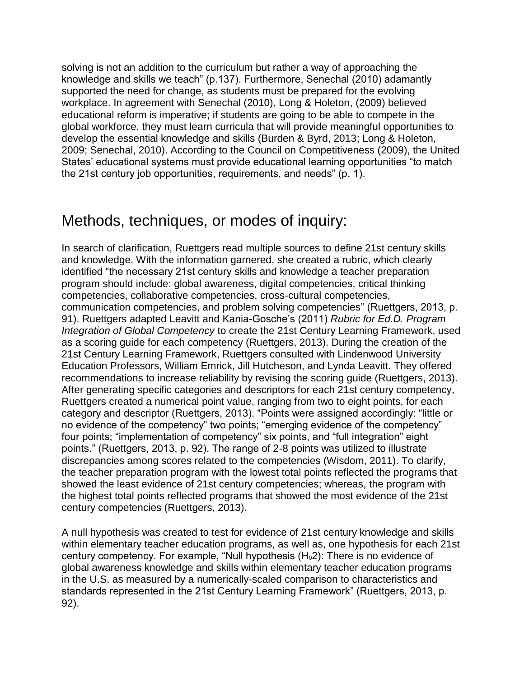solving is not an addition to the curriculum but rather a way of approaching the knowledge and skills we teach" (p.137). Furthermore, Senechal (2010) adamantly supported the need for change, as students must be prepared for the evolving workplace. In agreement with Senechal (2010), Long & Holeton, (2009) believed educational reform is imperative; if students are going to be able to compete in the global workforce, they must learn curricula that will provide meaningful opportunities to develop the essential knowledge and skills (Burden & Byrd, 2013; Long & Holeton, 2009; Senechal, 2010). According to the Council on Competitiveness (2009), the United States' educational systems must provide educational learning opportunities "to match the 21st century job opportunities, requirements, and needs" (p. 1).

### Methods, techniques, or modes of inquiry:

In search of clarification, Ruettgers read multiple sources to define 21st century skills and knowledge. With the information garnered, she created a rubric, which clearly identified "the necessary 21st century skills and knowledge a teacher preparation program should include: global awareness, digital competencies, critical thinking competencies, collaborative competencies, cross-cultural competencies, communication competencies, and problem solving competencies" (Ruettgers, 2013, p. 91). Ruettgers adapted Leavitt and Kania-Gosche's (2011) *Rubric for Ed.D. Program Integration of Global Competency* to create the 21st Century Learning Framework, used as a scoring guide for each competency (Ruettgers, 2013). During the creation of the 21st Century Learning Framework, Ruettgers consulted with Lindenwood University Education Professors, William Emrick, Jill Hutcheson, and Lynda Leavitt. They offered recommendations to increase reliability by revising the scoring guide (Ruettgers, 2013). After generating specific categories and descriptors for each 21st century competency, Ruettgers created a numerical point value, ranging from two to eight points, for each category and descriptor (Ruettgers, 2013). "Points were assigned accordingly: "little or no evidence of the competency" two points; "emerging evidence of the competency" four points; "implementation of competency" six points, and "full integration" eight points." (Ruettgers, 2013, p. 92). The range of 2-8 points was utilized to illustrate discrepancies among scores related to the competencies (Wisdom, 2011). To clarify, the teacher preparation program with the lowest total points reflected the programs that showed the least evidence of 21st century competencies; whereas, the program with the highest total points reflected programs that showed the most evidence of the 21st century competencies (Ruettgers, 2013).

A null hypothesis was created to test for evidence of 21st century knowledge and skills within elementary teacher education programs, as well as, one hypothesis for each 21st century competency. For example, "Null hypothesis  $(H<sub>0</sub>2)$ : There is no evidence of global awareness knowledge and skills within elementary teacher education programs in the U.S. as measured by a numerically-scaled comparison to characteristics and standards represented in the 21st Century Learning Framework" (Ruettgers, 2013, p. 92).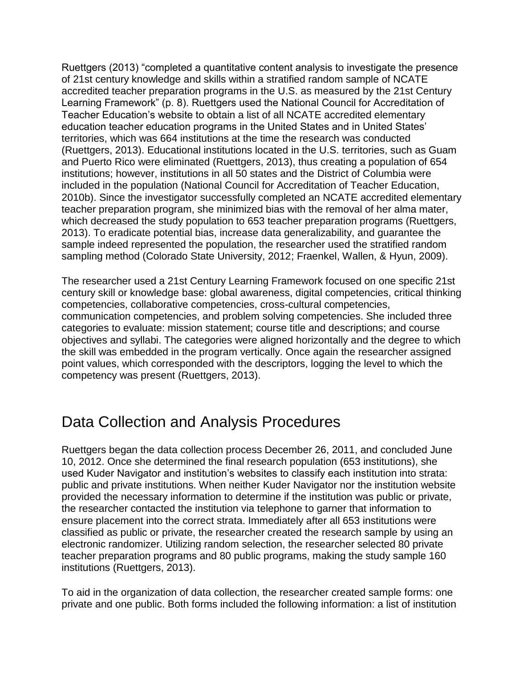Ruettgers (2013) "completed a quantitative content analysis to investigate the presence of 21st century knowledge and skills within a stratified random sample of NCATE accredited teacher preparation programs in the U.S. as measured by the 21st Century Learning Framework" (p. 8). Ruettgers used the National Council for Accreditation of Teacher Education's website to obtain a list of all NCATE accredited elementary education teacher education programs in the United States and in United States' territories, which was 664 institutions at the time the research was conducted (Ruettgers, 2013). Educational institutions located in the U.S. territories, such as Guam and Puerto Rico were eliminated (Ruettgers, 2013), thus creating a population of 654 institutions; however, institutions in all 50 states and the District of Columbia were included in the population (National Council for Accreditation of Teacher Education, 2010b). Since the investigator successfully completed an NCATE accredited elementary teacher preparation program, she minimized bias with the removal of her alma mater, which decreased the study population to 653 teacher preparation programs (Ruettgers, 2013). To eradicate potential bias, increase data generalizability, and guarantee the sample indeed represented the population, the researcher used the stratified random sampling method (Colorado State University, 2012; Fraenkel, Wallen, & Hyun, 2009).

The researcher used a 21st Century Learning Framework focused on one specific 21st century skill or knowledge base: global awareness, digital competencies, critical thinking competencies, collaborative competencies, cross-cultural competencies, communication competencies, and problem solving competencies. She included three categories to evaluate: mission statement; course title and descriptions; and course objectives and syllabi. The categories were aligned horizontally and the degree to which the skill was embedded in the program vertically. Once again the researcher assigned point values, which corresponded with the descriptors, logging the level to which the competency was present (Ruettgers, 2013).

### Data Collection and Analysis Procedures

Ruettgers began the data collection process December 26, 2011, and concluded June 10, 2012. Once she determined the final research population (653 institutions), she used Kuder Navigator and institution's websites to classify each institution into strata: public and private institutions. When neither Kuder Navigator nor the institution website provided the necessary information to determine if the institution was public or private, the researcher contacted the institution via telephone to garner that information to ensure placement into the correct strata. Immediately after all 653 institutions were classified as public or private, the researcher created the research sample by using an electronic randomizer. Utilizing random selection, the researcher selected 80 private teacher preparation programs and 80 public programs, making the study sample 160 institutions (Ruettgers, 2013).

To aid in the organization of data collection, the researcher created sample forms: one private and one public. Both forms included the following information: a list of institution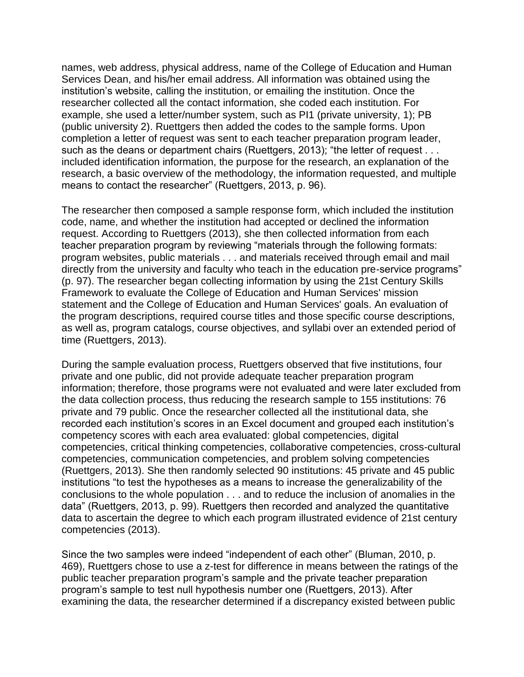names, web address, physical address, name of the College of Education and Human Services Dean, and his/her email address. All information was obtained using the institution's website, calling the institution, or emailing the institution. Once the researcher collected all the contact information, she coded each institution. For example, she used a letter/number system, such as PI1 (private university, 1); PB (public university 2). Ruettgers then added the codes to the sample forms. Upon completion a letter of request was sent to each teacher preparation program leader, such as the deans or department chairs (Ruettgers, 2013); "the letter of request . . . included identification information, the purpose for the research, an explanation of the research, a basic overview of the methodology, the information requested, and multiple means to contact the researcher" (Ruettgers, 2013, p. 96).

The researcher then composed a sample response form, which included the institution code, name, and whether the institution had accepted or declined the information request. According to Ruettgers (2013), she then collected information from each teacher preparation program by reviewing "materials through the following formats: program websites, public materials . . . and materials received through email and mail directly from the university and faculty who teach in the education pre-service programs" (p. 97). The researcher began collecting information by using the 21st Century Skills Framework to evaluate the College of Education and Human Services' mission statement and the College of Education and Human Services' goals. An evaluation of the program descriptions, required course titles and those specific course descriptions, as well as, program catalogs, course objectives, and syllabi over an extended period of time (Ruettgers, 2013).

During the sample evaluation process, Ruettgers observed that five institutions, four private and one public, did not provide adequate teacher preparation program information; therefore, those programs were not evaluated and were later excluded from the data collection process, thus reducing the research sample to 155 institutions: 76 private and 79 public. Once the researcher collected all the institutional data, she recorded each institution's scores in an Excel document and grouped each institution's competency scores with each area evaluated: global competencies, digital competencies, critical thinking competencies, collaborative competencies, cross-cultural competencies, communication competencies, and problem solving competencies (Ruettgers, 2013). She then randomly selected 90 institutions: 45 private and 45 public institutions "to test the hypotheses as a means to increase the generalizability of the conclusions to the whole population . . . and to reduce the inclusion of anomalies in the data" (Ruettgers, 2013, p. 99). Ruettgers then recorded and analyzed the quantitative data to ascertain the degree to which each program illustrated evidence of 21st century competencies (2013).

Since the two samples were indeed "independent of each other" (Bluman, 2010, p. 469), Ruettgers chose to use a z-test for difference in means between the ratings of the public teacher preparation program's sample and the private teacher preparation program's sample to test null hypothesis number one (Ruettgers, 2013). After examining the data, the researcher determined if a discrepancy existed between public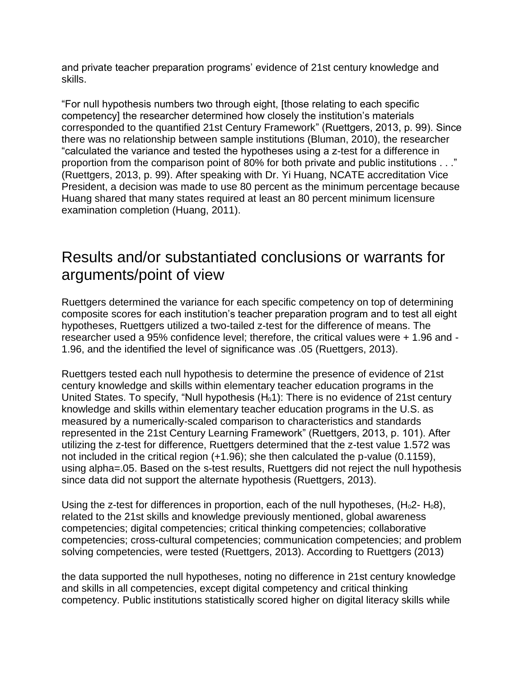and private teacher preparation programs' evidence of 21st century knowledge and skills.

"For null hypothesis numbers two through eight, [those relating to each specific competency] the researcher determined how closely the institution's materials corresponded to the quantified 21st Century Framework" (Ruettgers, 2013, p. 99). Since there was no relationship between sample institutions (Bluman, 2010), the researcher "calculated the variance and tested the hypotheses using a z-test for a difference in proportion from the comparison point of 80% for both private and public institutions . . ." (Ruettgers, 2013, p. 99). After speaking with Dr. Yi Huang, NCATE accreditation Vice President, a decision was made to use 80 percent as the minimum percentage because Huang shared that many states required at least an 80 percent minimum licensure examination completion (Huang, 2011).

### Results and/or substantiated conclusions or warrants for arguments/point of view

Ruettgers determined the variance for each specific competency on top of determining composite scores for each institution's teacher preparation program and to test all eight hypotheses, Ruettgers utilized a two-tailed z-test for the difference of means. The researcher used a 95% confidence level; therefore, the critical values were + 1.96 and - 1.96, and the identified the level of significance was .05 (Ruettgers, 2013).

Ruettgers tested each null hypothesis to determine the presence of evidence of 21st century knowledge and skills within elementary teacher education programs in the United States. To specify, "Null hypothesis  $(H_0 1)$ : There is no evidence of 21st century knowledge and skills within elementary teacher education programs in the U.S. as measured by a numerically-scaled comparison to characteristics and standards represented in the 21st Century Learning Framework" (Ruettgers, 2013, p. 101). After utilizing the z-test for difference, Ruettgers determined that the z-test value 1.572 was not included in the critical region (+1.96); she then calculated the p-value (0.1159), using alpha=.05. Based on the s-test results, Ruettgers did not reject the null hypothesis since data did not support the alternate hypothesis (Ruettgers, 2013).

Using the z-test for differences in proportion, each of the null hypotheses,  $(H_02 - H_08)$ , related to the 21st skills and knowledge previously mentioned, global awareness competencies; digital competencies; critical thinking competencies; collaborative competencies; cross-cultural competencies; communication competencies; and problem solving competencies, were tested (Ruettgers, 2013). According to Ruettgers (2013)

the data supported the null hypotheses, noting no difference in 21st century knowledge and skills in all competencies, except digital competency and critical thinking competency. Public institutions statistically scored higher on digital literacy skills while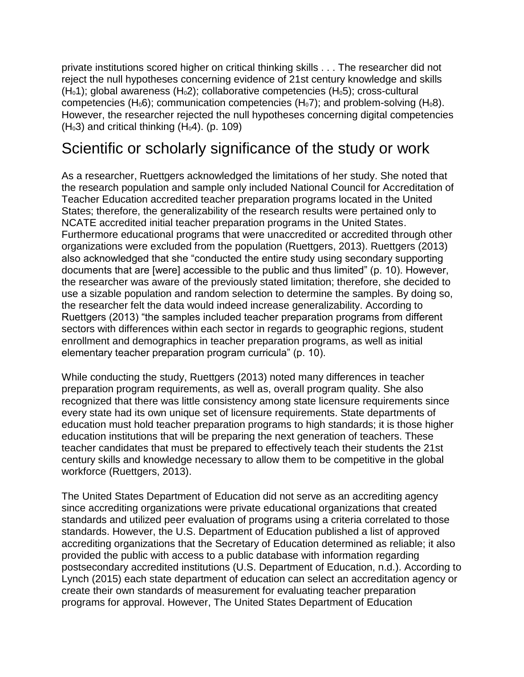private institutions scored higher on critical thinking skills . . . The researcher did not reject the null hypotheses concerning evidence of 21st century knowledge and skills  $(H<sub>0</sub>1)$ ; global awareness  $(H<sub>0</sub>2)$ ; collaborative competencies  $(H<sub>0</sub>5)$ ; cross-cultural competencies (H<sub>0</sub>6); communication competencies (H<sub>0</sub>7); and problem-solving (H<sub>0</sub>8). However, the researcher rejected the null hypotheses concerning digital competencies  $(H<sub>0</sub>3)$  and critical thinking  $(H<sub>0</sub>4)$ . (p. 109)

### Scientific or scholarly significance of the study or work

As a researcher, Ruettgers acknowledged the limitations of her study. She noted that the research population and sample only included National Council for Accreditation of Teacher Education accredited teacher preparation programs located in the United States; therefore, the generalizability of the research results were pertained only to NCATE accredited initial teacher preparation programs in the United States. Furthermore educational programs that were unaccredited or accredited through other organizations were excluded from the population (Ruettgers, 2013). Ruettgers (2013) also acknowledged that she "conducted the entire study using secondary supporting documents that are [were] accessible to the public and thus limited" (p. 10). However, the researcher was aware of the previously stated limitation; therefore, she decided to use a sizable population and random selection to determine the samples. By doing so, the researcher felt the data would indeed increase generalizability. According to Ruettgers (2013) "the samples included teacher preparation programs from different sectors with differences within each sector in regards to geographic regions, student enrollment and demographics in teacher preparation programs, as well as initial elementary teacher preparation program curricula" (p. 10).

While conducting the study, Ruettgers (2013) noted many differences in teacher preparation program requirements, as well as, overall program quality. She also recognized that there was little consistency among state licensure requirements since every state had its own unique set of licensure requirements. State departments of education must hold teacher preparation programs to high standards; it is those higher education institutions that will be preparing the next generation of teachers. These teacher candidates that must be prepared to effectively teach their students the 21st century skills and knowledge necessary to allow them to be competitive in the global workforce (Ruettgers, 2013).

The United States Department of Education did not serve as an accrediting agency since accrediting organizations were private educational organizations that created standards and utilized peer evaluation of programs using a criteria correlated to those standards. However, the U.S. Department of Education published a list of approved accrediting organizations that the Secretary of Education determined as reliable; it also provided the public with access to a public database with information regarding postsecondary accredited institutions (U.S. Department of Education, n.d.). According to Lynch (2015) each state department of education can select an accreditation agency or create their own standards of measurement for evaluating teacher preparation programs for approval. However, The United States Department of Education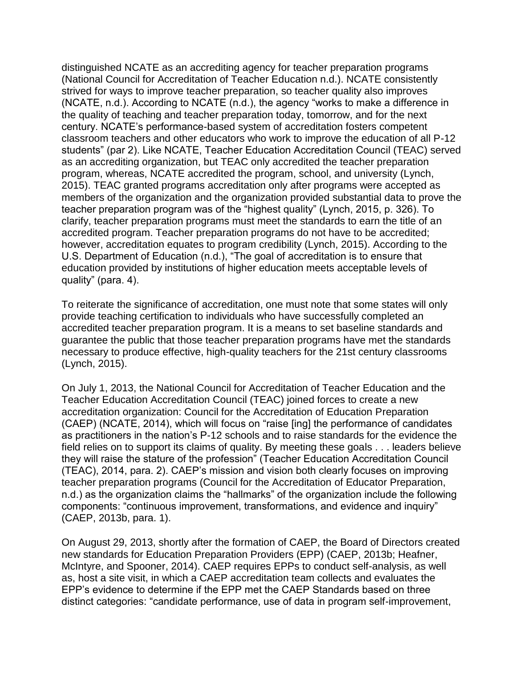distinguished NCATE as an accrediting agency for teacher preparation programs (National Council for Accreditation of Teacher Education n.d.). NCATE consistently strived for ways to improve teacher preparation, so teacher quality also improves (NCATE, n.d.). According to NCATE (n.d.), the agency "works to make a difference in the quality of teaching and teacher preparation today, tomorrow, and for the next century. NCATE's performance-based system of accreditation fosters competent classroom teachers and other educators who work to improve the education of all P-12 students" (par 2). Like NCATE, Teacher Education Accreditation Council (TEAC) served as an accrediting organization, but TEAC only accredited the teacher preparation program, whereas, NCATE accredited the program, school, and university (Lynch, 2015). TEAC granted programs accreditation only after programs were accepted as members of the organization and the organization provided substantial data to prove the teacher preparation program was of the "highest quality" (Lynch, 2015, p. 326). To clarify, teacher preparation programs must meet the standards to earn the title of an accredited program. Teacher preparation programs do not have to be accredited; however, accreditation equates to program credibility (Lynch, 2015). According to the U.S. Department of Education (n.d.), "The goal of accreditation is to ensure that education provided by institutions of higher education meets acceptable levels of quality" (para. 4).

To reiterate the significance of accreditation, one must note that some states will only provide teaching certification to individuals who have successfully completed an accredited teacher preparation program. It is a means to set baseline standards and guarantee the public that those teacher preparation programs have met the standards necessary to produce effective, high-quality teachers for the 21st century classrooms (Lynch, 2015).

On July 1, 2013, the National Council for Accreditation of Teacher Education and the Teacher Education Accreditation Council (TEAC) joined forces to create a new accreditation organization: Council for the Accreditation of Education Preparation (CAEP) (NCATE, 2014), which will focus on "raise [ing] the performance of candidates as practitioners in the nation's P-12 schools and to raise standards for the evidence the field relies on to support its claims of quality. By meeting these goals . . . leaders believe they will raise the stature of the profession" (Teacher Education Accreditation Council (TEAC), 2014, para. 2). CAEP's mission and vision both clearly focuses on improving teacher preparation programs (Council for the Accreditation of Educator Preparation, n.d.) as the organization claims the "hallmarks" of the organization include the following components: "continuous improvement, transformations, and evidence and inquiry" (CAEP, 2013b, para. 1).

On August 29, 2013, shortly after the formation of CAEP, the Board of Directors created new standards for Education Preparation Providers (EPP) (CAEP, 2013b; Heafner, McIntyre, and Spooner, 2014). CAEP requires EPPs to conduct self-analysis, as well as, host a site visit, in which a CAEP accreditation team collects and evaluates the EPP's evidence to determine if the EPP met the CAEP Standards based on three distinct categories: "candidate performance, use of data in program self-improvement,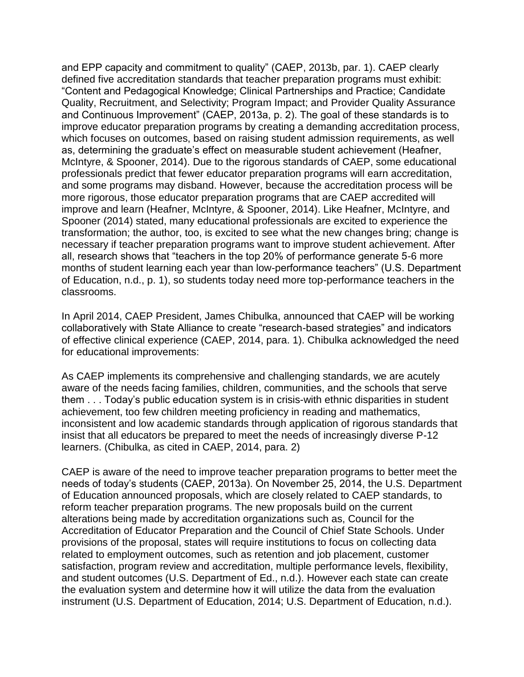and EPP capacity and commitment to quality" (CAEP, 2013b, par. 1). CAEP clearly defined five accreditation standards that teacher preparation programs must exhibit: "Content and Pedagogical Knowledge; Clinical Partnerships and Practice; Candidate Quality, Recruitment, and Selectivity; Program Impact; and Provider Quality Assurance and Continuous Improvement" (CAEP, 2013a, p. 2). The goal of these standards is to improve educator preparation programs by creating a demanding accreditation process, which focuses on outcomes, based on raising student admission requirements, as well as, determining the graduate's effect on measurable student achievement (Heafner, McIntyre, & Spooner, 2014). Due to the rigorous standards of CAEP, some educational professionals predict that fewer educator preparation programs will earn accreditation, and some programs may disband. However, because the accreditation process will be more rigorous, those educator preparation programs that are CAEP accredited will improve and learn (Heafner, McIntyre, & Spooner, 2014). Like Heafner, McIntyre, and Spooner (2014) stated, many educational professionals are excited to experience the transformation; the author, too, is excited to see what the new changes bring; change is necessary if teacher preparation programs want to improve student achievement. After all, research shows that "teachers in the top 20% of performance generate 5-6 more months of student learning each year than low-performance teachers" (U.S. Department of Education, n.d., p. 1), so students today need more top-performance teachers in the classrooms.

In April 2014, CAEP President, James Chibulka, announced that CAEP will be working collaboratively with State Alliance to create "research-based strategies" and indicators of effective clinical experience (CAEP, 2014, para. 1). Chibulka acknowledged the need for educational improvements:

As CAEP implements its comprehensive and challenging standards, we are acutely aware of the needs facing families, children, communities, and the schools that serve them . . . Today's public education system is in crisis-with ethnic disparities in student achievement, too few children meeting proficiency in reading and mathematics, inconsistent and low academic standards through application of rigorous standards that insist that all educators be prepared to meet the needs of increasingly diverse P-12 learners. (Chibulka, as cited in CAEP, 2014, para. 2)

CAEP is aware of the need to improve teacher preparation programs to better meet the needs of today's students (CAEP, 2013a). On November 25, 2014, the U.S. Department of Education announced proposals, which are closely related to CAEP standards, to reform teacher preparation programs. The new proposals build on the current alterations being made by accreditation organizations such as, Council for the Accreditation of Educator Preparation and the Council of Chief State Schools. Under provisions of the proposal, states will require institutions to focus on collecting data related to employment outcomes, such as retention and job placement, customer satisfaction, program review and accreditation, multiple performance levels, flexibility, and student outcomes (U.S. Department of Ed., n.d.). However each state can create the evaluation system and determine how it will utilize the data from the evaluation instrument (U.S. Department of Education, 2014; U.S. Department of Education, n.d.).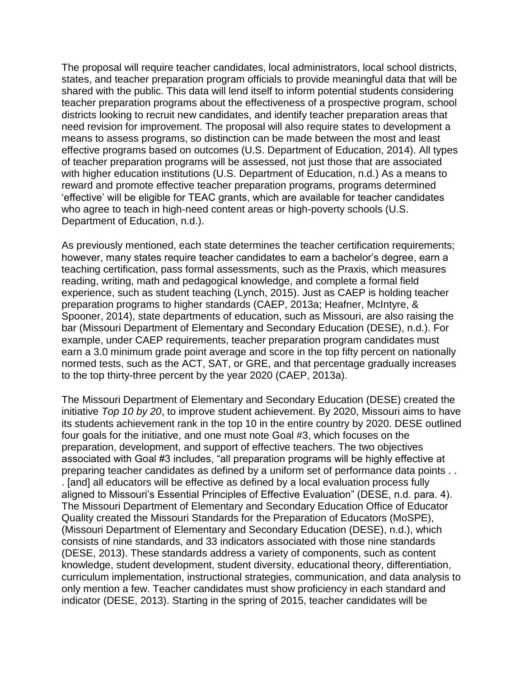The proposal will require teacher candidates, local administrators, local school districts, states, and teacher preparation program officials to provide meaningful data that will be shared with the public. This data will lend itself to inform potential students considering teacher preparation programs about the effectiveness of a prospective program, school districts looking to recruit new candidates, and identify teacher preparation areas that need revision for improvement. The proposal will also require states to development a means to assess programs, so distinction can be made between the most and least effective programs based on outcomes (U.S. Department of Education, 2014). All types of teacher preparation programs will be assessed, not just those that are associated with higher education institutions (U.S. Department of Education, n.d.) As a means to reward and promote effective teacher preparation programs, programs determined 'effective' will be eligible for TEAC grants, which are available for teacher candidates who agree to teach in high-need content areas or high-poverty schools (U.S. Department of Education, n.d.).

As previously mentioned, each state determines the teacher certification requirements; however, many states require teacher candidates to earn a bachelor's degree, earn a teaching certification, pass formal assessments, such as the Praxis, which measures reading, writing, math and pedagogical knowledge, and complete a formal field experience, such as student teaching (Lynch, 2015). Just as CAEP is holding teacher preparation programs to higher standards (CAEP, 2013a; Heafner, McIntyre, & Spooner, 2014), state departments of education, such as Missouri, are also raising the bar (Missouri Department of Elementary and Secondary Education (DESE), n.d.). For example, under CAEP requirements, teacher preparation program candidates must earn a 3.0 minimum grade point average and score in the top fifty percent on nationally normed tests, such as the ACT, SAT, or GRE, and that percentage gradually increases to the top thirty-three percent by the year 2020 (CAEP, 2013a).

The Missouri Department of Elementary and Secondary Education (DESE) created the initiative *Top 10 by 20*, to improve student achievement. By 2020, Missouri aims to have its students achievement rank in the top 10 in the entire country by 2020. DESE outlined four goals for the initiative, and one must note Goal #3, which focuses on the preparation, development, and support of effective teachers. The two objectives associated with Goal #3 includes, "all preparation programs will be highly effective at preparing teacher candidates as defined by a uniform set of performance data points . . . [and] all educators will be effective as defined by a local evaluation process fully aligned to Missouri's Essential Principles of Effective Evaluation" (DESE, n.d. para. 4). The Missouri Department of Elementary and Secondary Education Office of Educator Quality created the Missouri Standards for the Preparation of Educators (MoSPE), (Missouri Department of Elementary and Secondary Education (DESE), n.d.), which consists of nine standards, and 33 indicators associated with those nine standards (DESE, 2013). These standards address a variety of components, such as content knowledge, student development, student diversity, educational theory, differentiation, curriculum implementation, instructional strategies, communication, and data analysis to only mention a few. Teacher candidates must show proficiency in each standard and indicator (DESE, 2013). Starting in the spring of 2015, teacher candidates will be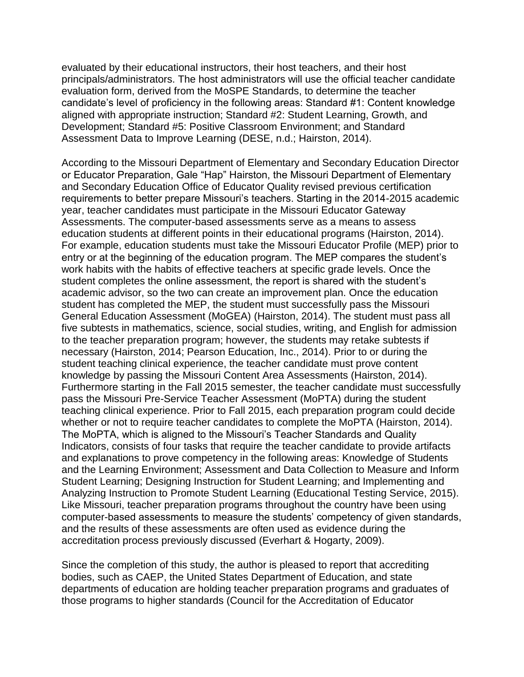evaluated by their educational instructors, their host teachers, and their host principals/administrators. The host administrators will use the official teacher candidate evaluation form, derived from the MoSPE Standards, to determine the teacher candidate's level of proficiency in the following areas: Standard #1: Content knowledge aligned with appropriate instruction; Standard #2: Student Learning, Growth, and Development; Standard #5: Positive Classroom Environment; and Standard Assessment Data to Improve Learning (DESE, n.d.; Hairston, 2014).

According to the Missouri Department of Elementary and Secondary Education Director or Educator Preparation, Gale "Hap" Hairston, the Missouri Department of Elementary and Secondary Education Office of Educator Quality revised previous certification requirements to better prepare Missouri's teachers. Starting in the 2014-2015 academic year, teacher candidates must participate in the Missouri Educator Gateway Assessments. The computer-based assessments serve as a means to assess education students at different points in their educational programs (Hairston, 2014). For example, education students must take the Missouri Educator Profile (MEP) prior to entry or at the beginning of the education program. The MEP compares the student's work habits with the habits of effective teachers at specific grade levels. Once the student completes the online assessment, the report is shared with the student's academic advisor, so the two can create an improvement plan. Once the education student has completed the MEP, the student must successfully pass the Missouri General Education Assessment (MoGEA) (Hairston, 2014). The student must pass all five subtests in mathematics, science, social studies, writing, and English for admission to the teacher preparation program; however, the students may retake subtests if necessary (Hairston, 2014; Pearson Education, Inc., 2014). Prior to or during the student teaching clinical experience, the teacher candidate must prove content knowledge by passing the Missouri Content Area Assessments (Hairston, 2014). Furthermore starting in the Fall 2015 semester, the teacher candidate must successfully pass the Missouri Pre-Service Teacher Assessment (MoPTA) during the student teaching clinical experience. Prior to Fall 2015, each preparation program could decide whether or not to require teacher candidates to complete the MoPTA (Hairston, 2014). The MoPTA, which is aligned to the Missouri's Teacher Standards and Quality Indicators, consists of four tasks that require the teacher candidate to provide artifacts and explanations to prove competency in the following areas: Knowledge of Students and the Learning Environment; Assessment and Data Collection to Measure and Inform Student Learning; Designing Instruction for Student Learning; and Implementing and Analyzing Instruction to Promote Student Learning (Educational Testing Service, 2015). Like Missouri, teacher preparation programs throughout the country have been using computer-based assessments to measure the students' competency of given standards, and the results of these assessments are often used as evidence during the accreditation process previously discussed (Everhart & Hogarty, 2009).

Since the completion of this study, the author is pleased to report that accrediting bodies, such as CAEP, the United States Department of Education, and state departments of education are holding teacher preparation programs and graduates of those programs to higher standards (Council for the Accreditation of Educator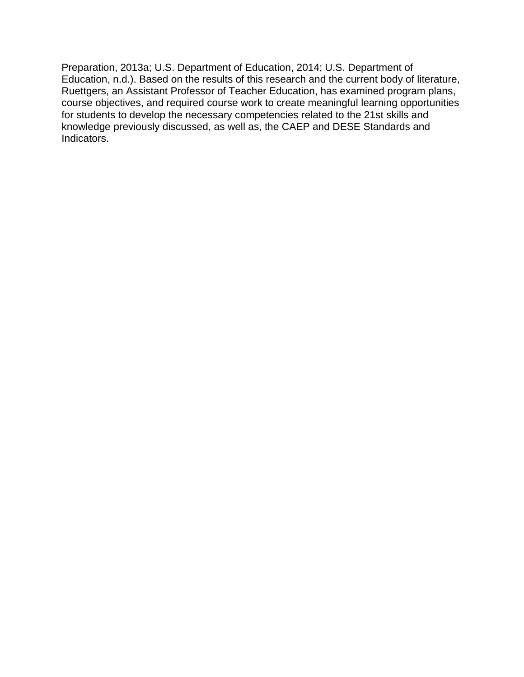Preparation, 2013a; U.S. Department of Education, 2014; U.S. Department of Education, n.d.). Based on the results of this research and the current body of literature, Ruettgers, an Assistant Professor of Teacher Education, has examined program plans, course objectives, and required course work to create meaningful learning opportunities for students to develop the necessary competencies related to the 21st skills and knowledge previously discussed, as well as, the CAEP and DESE Standards and Indicators.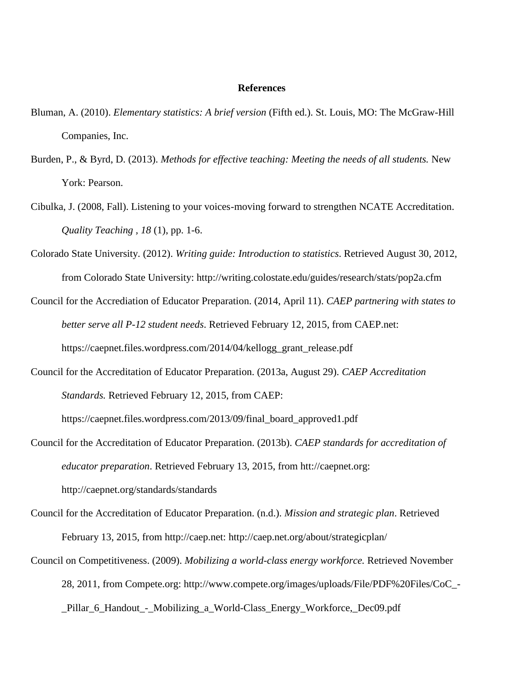#### **References**

- Bluman, A. (2010). *Elementary statistics: A brief version* (Fifth ed.). St. Louis, MO: The McGraw-Hill Companies, Inc.
- Burden, P., & Byrd, D. (2013). *Methods for effective teaching: Meeting the needs of all students.* New York: Pearson.
- Cibulka, J. (2008, Fall). Listening to your voices-moving forward to strengthen NCATE Accreditation. *Quality Teaching , 18* (1), pp. 1-6.
- Colorado State University. (2012). *Writing guide: Introduction to statistics*. Retrieved August 30, 2012, from Colorado State University: http://writing.colostate.edu/guides/research/stats/pop2a.cfm
- Council for the Accrediation of Educator Preparation. (2014, April 11). *CAEP partnering with states to better serve all P-12 student needs*. Retrieved February 12, 2015, from CAEP.net: https://caepnet.files.wordpress.com/2014/04/kellogg\_grant\_release.pdf
- Council for the Accreditation of Educator Preparation. (2013a, August 29). *CAEP Accreditation Standards.* Retrieved February 12, 2015, from CAEP:

https://caepnet.files.wordpress.com/2013/09/final\_board\_approved1.pdf

- Council for the Accreditation of Educator Preparation. (2013b). *CAEP standards for accreditation of educator preparation*. Retrieved February 13, 2015, from htt://caepnet.org: http://caepnet.org/standards/standards
- Council for the Accreditation of Educator Preparation. (n.d.). *Mission and strategic plan*. Retrieved February 13, 2015, from http://caep.net: http://caep.net.org/about/strategicplan/
- Council on Competitiveness. (2009). *Mobilizing a world-class energy workforce.* Retrieved November 28, 2011, from Compete.org: http://www.compete.org/images/uploads/File/PDF%20Files/CoC\_- \_Pillar\_6\_Handout\_-\_Mobilizing\_a\_World-Class\_Energy\_Workforce,\_Dec09.pdf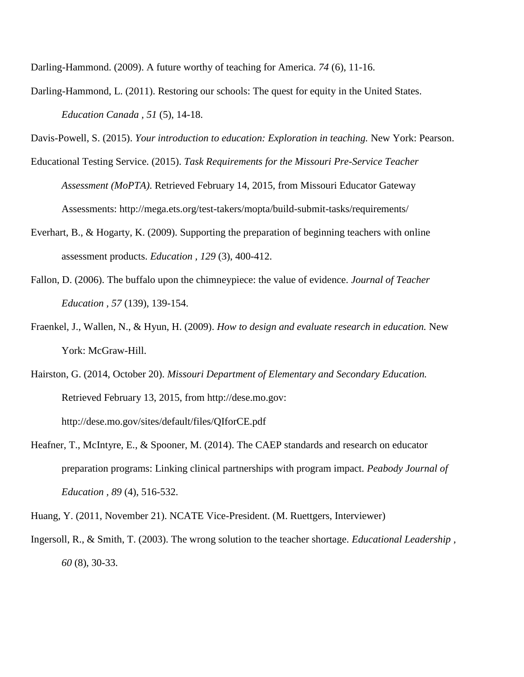Darling-Hammond. (2009). A future worthy of teaching for America. *74* (6), 11-16.

Darling-Hammond, L. (2011). Restoring our schools: The quest for equity in the United States. *Education Canada , 51* (5), 14-18.

Davis-Powell, S. (2015). *Your introduction to education: Exploration in teaching.* New York: Pearson.

- Educational Testing Service. (2015). *Task Requirements for the Missouri Pre-Service Teacher Assessment (MoPTA)*. Retrieved February 14, 2015, from Missouri Educator Gateway Assessments: http://mega.ets.org/test-takers/mopta/build-submit-tasks/requirements/
- Everhart, B., & Hogarty, K. (2009). Supporting the preparation of beginning teachers with online assessment products. *Education , 129* (3), 400-412.
- Fallon, D. (2006). The buffalo upon the chimneypiece: the value of evidence. *Journal of Teacher Education , 57* (139), 139-154.
- Fraenkel, J., Wallen, N., & Hyun, H. (2009). *How to design and evaluate research in education.* New York: McGraw-Hill.
- Hairston, G. (2014, October 20). *Missouri Department of Elementary and Secondary Education.* Retrieved February 13, 2015, from http://dese.mo.gov: http://dese.mo.gov/sites/default/files/QIforCE.pdf
- Heafner, T., McIntyre, E., & Spooner, M. (2014). The CAEP standards and research on educator preparation programs: Linking clinical partnerships with program impact. *Peabody Journal of Education , 89* (4), 516-532.
- Huang, Y. (2011, November 21). NCATE Vice-President. (M. Ruettgers, Interviewer)
- Ingersoll, R., & Smith, T. (2003). The wrong solution to the teacher shortage. *Educational Leadership , 60* (8), 30-33.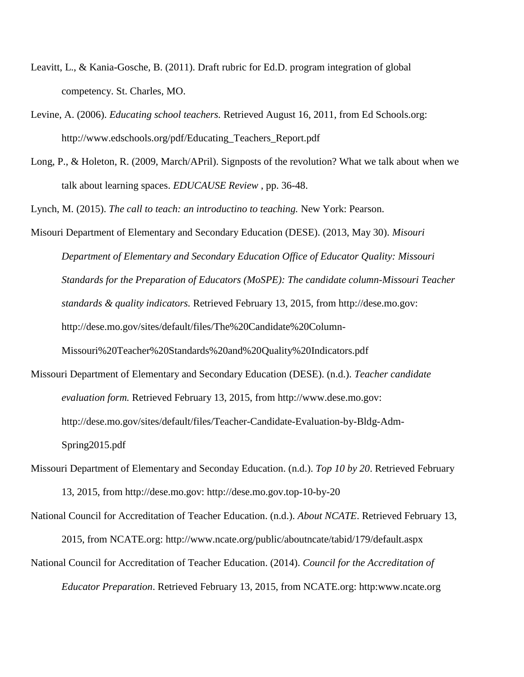- Leavitt, L., & Kania-Gosche, B. (2011). Draft rubric for Ed.D. program integration of global competency. St. Charles, MO.
- Levine, A. (2006). *Educating school teachers.* Retrieved August 16, 2011, from Ed Schools.org: http://www.edschools.org/pdf/Educating\_Teachers\_Report.pdf
- Long, P., & Holeton, R. (2009, March/APril). Signposts of the revolution? What we talk about when we talk about learning spaces. *EDUCAUSE Review* , pp. 36-48.

Lynch, M. (2015). *The call to teach: an introductino to teaching.* New York: Pearson.

Misouri Department of Elementary and Secondary Education (DESE). (2013, May 30). *Misouri Department of Elementary and Secondary Education Office of Educator Quality: Missouri Standards for the Preparation of Educators (MoSPE): The candidate column-Missouri Teacher standards & quality indicators.* Retrieved February 13, 2015, from http://dese.mo.gov: http://dese.mo.gov/sites/default/files/The%20Candidate%20Column-Missouri%20Teacher%20Standards%20and%20Quality%20Indicators.pdf

- Missouri Department of Elementary and Secondary Education (DESE). (n.d.). *Teacher candidate evaluation form.* Retrieved February 13, 2015, from http://www.dese.mo.gov: http://dese.mo.gov/sites/default/files/Teacher-Candidate-Evaluation-by-Bldg-Adm-Spring2015.pdf
- Missouri Department of Elementary and Seconday Education. (n.d.). *Top 10 by 20*. Retrieved February 13, 2015, from http://dese.mo.gov: http://dese.mo.gov.top-10-by-20

National Council for Accreditation of Teacher Education. (n.d.). *About NCATE*. Retrieved February 13, 2015, from NCATE.org: http://www.ncate.org/public/aboutncate/tabid/179/default.aspx National Council for Accreditation of Teacher Education. (2014). *Council for the Accreditation of* 

*Educator Preparation*. Retrieved February 13, 2015, from NCATE.org: http:www.ncate.org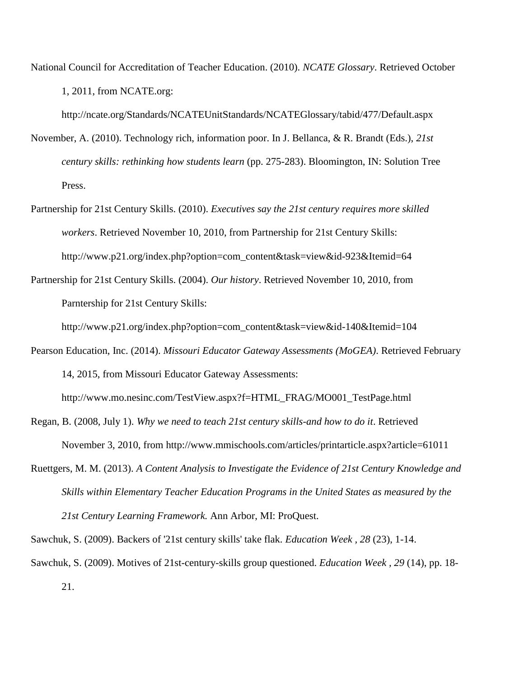National Council for Accreditation of Teacher Education. (2010). *NCATE Glossary*. Retrieved October 1, 2011, from NCATE.org:

http://ncate.org/Standards/NCATEUnitStandards/NCATEGlossary/tabid/477/Default.aspx

- November, A. (2010). Technology rich, information poor. In J. Bellanca, & R. Brandt (Eds.), *21st century skills: rethinking how students learn* (pp. 275-283). Bloomington, IN: Solution Tree Press.
- Partnership for 21st Century Skills. (2010). *Executives say the 21st century requires more skilled workers*. Retrieved November 10, 2010, from Partnership for 21st Century Skills: http://www.p21.org/index.php?option=com\_content&task=view&id-923&Itemid=64
- Partnership for 21st Century Skills. (2004). *Our history*. Retrieved November 10, 2010, from Parntership for 21st Century Skills:

http://www.p21.org/index.php?option=com\_content&task=view&id-140&Itemid=104

Pearson Education, Inc. (2014). *Missouri Educator Gateway Assessments (MoGEA)*. Retrieved February 14, 2015, from Missouri Educator Gateway Assessments:

http://www.mo.nesinc.com/TestView.aspx?f=HTML\_FRAG/MO001\_TestPage.html

- Regan, B. (2008, July 1). *Why we need to teach 21st century skills-and how to do it*. Retrieved November 3, 2010, from http://www.mmischools.com/articles/printarticle.aspx?article=61011
- Ruettgers, M. M. (2013). *A Content Analysis to Investigate the Evidence of 21st Century Knowledge and Skills within Elementary Teacher Education Programs in the United States as measured by the 21st Century Learning Framework.* Ann Arbor, MI: ProQuest.

Sawchuk, S. (2009). Backers of '21st century skills' take flak. *Education Week , 28* (23), 1-14.

Sawchuk, S. (2009). Motives of 21st-century-skills group questioned. *Education Week , 29* (14), pp. 18- 21.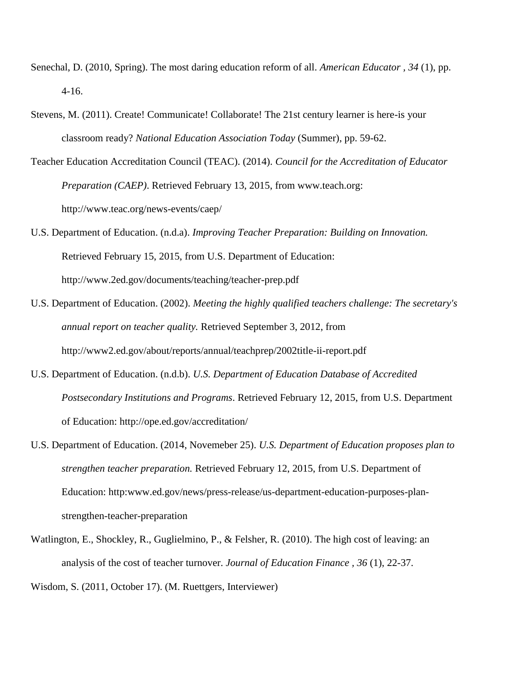- Senechal, D. (2010, Spring). The most daring education reform of all. *American Educator , 34* (1), pp. 4-16.
- Stevens, M. (2011). Create! Communicate! Collaborate! The 21st century learner is here-is your classroom ready? *National Education Association Today* (Summer), pp. 59-62.
- Teacher Education Accreditation Council (TEAC). (2014). *Council for the Accreditation of Educator Preparation (CAEP)*. Retrieved February 13, 2015, from www.teach.org: http://www.teac.org/news-events/caep/
- U.S. Department of Education. (n.d.a). *Improving Teacher Preparation: Building on Innovation.* Retrieved February 15, 2015, from U.S. Department of Education: http://www.2ed.gov/documents/teaching/teacher-prep.pdf
- U.S. Department of Education. (2002). *Meeting the highly qualified teachers challenge: The secretary's annual report on teacher quality.* Retrieved September 3, 2012, from http://www2.ed.gov/about/reports/annual/teachprep/2002title-ii-report.pdf
- U.S. Department of Education. (n.d.b). *U.S. Department of Education Database of Accredited Postsecondary Institutions and Programs*. Retrieved February 12, 2015, from U.S. Department of Education: http://ope.ed.gov/accreditation/
- U.S. Department of Education. (2014, Novemeber 25). *U.S. Department of Education proposes plan to strengthen teacher preparation.* Retrieved February 12, 2015, from U.S. Department of Education: http:www.ed.gov/news/press-release/us-department-education-purposes-planstrengthen-teacher-preparation
- Watlington, E., Shockley, R., Guglielmino, P., & Felsher, R. (2010). The high cost of leaving: an analysis of the cost of teacher turnover. *Journal of Education Finance , 36* (1), 22-37.

Wisdom, S. (2011, October 17). (M. Ruettgers, Interviewer)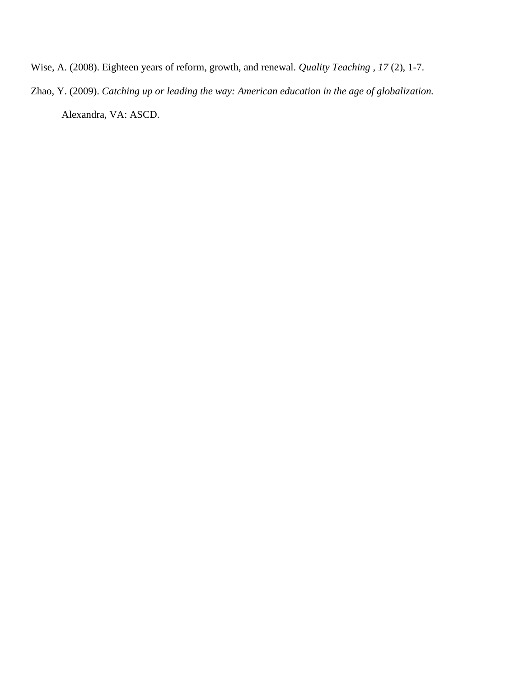Wise, A. (2008). Eighteen years of reform, growth, and renewal. *Quality Teaching , 17* (2), 1-7.

Zhao, Y. (2009). *Catching up or leading the way: American education in the age of globalization.* Alexandra, VA: ASCD.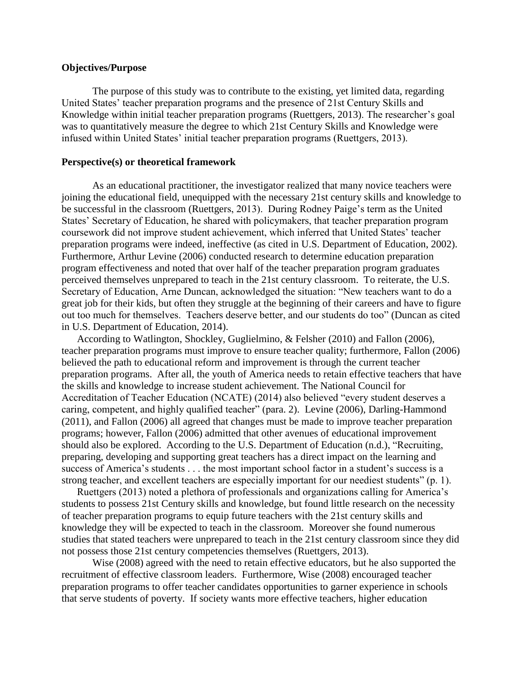### **Objectives/Purpose**

The purpose of this study was to contribute to the existing, yet limited data, regarding United States' teacher preparation programs and the presence of 21st Century Skills and Knowledge within initial teacher preparation programs (Ruettgers, 2013). The researcher's goal was to quantitatively measure the degree to which 21st Century Skills and Knowledge were infused within United States' initial teacher preparation programs (Ruettgers, 2013).

#### **Perspective(s) or theoretical framework**

As an educational practitioner, the investigator realized that many novice teachers were joining the educational field, unequipped with the necessary 21st century skills and knowledge to be successful in the classroom (Ruettgers, 2013). During Rodney Paige's term as the United States' Secretary of Education, he shared with policymakers, that teacher preparation program coursework did not improve student achievement, which inferred that United States' teacher preparation programs were indeed, ineffective (as cited in U.S. Department of Education, 2002). Furthermore, Arthur Levine (2006) conducted research to determine education preparation program effectiveness and noted that over half of the teacher preparation program graduates perceived themselves unprepared to teach in the 21st century classroom. To reiterate, the U.S. Secretary of Education, Arne Duncan, acknowledged the situation: "New teachers want to do a great job for their kids, but often they struggle at the beginning of their careers and have to figure out too much for themselves. Teachers deserve better, and our students do too" (Duncan as cited in U.S. Department of Education, 2014).

According to Watlington, Shockley, Guglielmino, & Felsher (2010) and Fallon (2006), teacher preparation programs must improve to ensure teacher quality; furthermore, Fallon (2006) believed the path to educational reform and improvement is through the current teacher preparation programs. After all, the youth of America needs to retain effective teachers that have the skills and knowledge to increase student achievement. The National Council for Accreditation of Teacher Education (NCATE) (2014) also believed "every student deserves a caring, competent, and highly qualified teacher" (para. 2). Levine (2006), Darling-Hammond (2011), and Fallon (2006) all agreed that changes must be made to improve teacher preparation programs; however, Fallon (2006) admitted that other avenues of educational improvement should also be explored. According to the U.S. Department of Education (n.d.), "Recruiting, preparing, developing and supporting great teachers has a direct impact on the learning and success of America's students . . . the most important school factor in a student's success is a strong teacher, and excellent teachers are especially important for our neediest students" (p. 1).

Ruettgers (2013) noted a plethora of professionals and organizations calling for America's students to possess 21st Century skills and knowledge, but found little research on the necessity of teacher preparation programs to equip future teachers with the 21st century skills and knowledge they will be expected to teach in the classroom. Moreover she found numerous studies that stated teachers were unprepared to teach in the 21st century classroom since they did not possess those 21st century competencies themselves (Ruettgers, 2013).

Wise (2008) agreed with the need to retain effective educators, but he also supported the recruitment of effective classroom leaders. Furthermore, Wise (2008) encouraged teacher preparation programs to offer teacher candidates opportunities to garner experience in schools that serve students of poverty. If society wants more effective teachers, higher education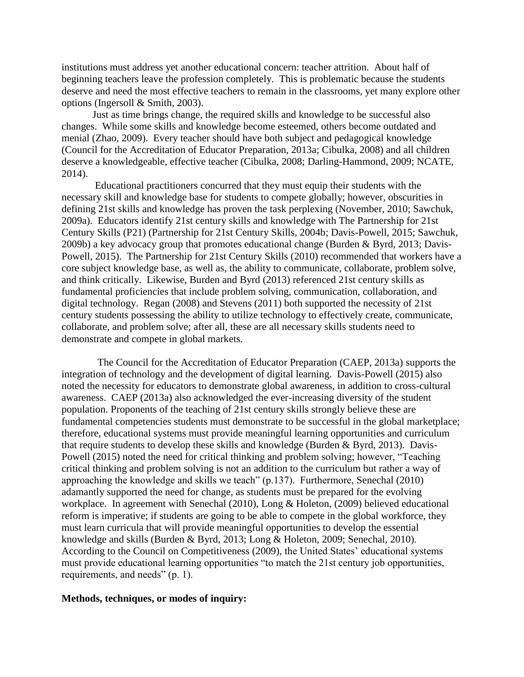institutions must address yet another educational concern: teacher attrition. About half of beginning teachers leave the profession completely. This is problematic because the students deserve and need the most effective teachers to remain in the classrooms, yet many explore other options (Ingersoll & Smith, 2003).

Just as time brings change, the required skills and knowledge to be successful also changes. While some skills and knowledge become esteemed, others become outdated and menial (Zhao, 2009). Every teacher should have both subject and pedagogical knowledge (Council for the Accreditation of Educator Preparation, 2013a; Cibulka, 2008) and all children deserve a knowledgeable, effective teacher (Cibulka, 2008; Darling-Hammond, 2009; NCATE, 2014).

Educational practitioners concurred that they must equip their students with the necessary skill and knowledge base for students to compete globally; however, obscurities in defining 21st skills and knowledge has proven the task perplexing (November, 2010; Sawchuk, 2009a). Educators identify 21st century skills and knowledge with The Partnership for 21st Century Skills (P21) (Partnership for 21st Century Skills, 2004b; Davis-Powell, 2015; Sawchuk, 2009b) a key advocacy group that promotes educational change (Burden & Byrd, 2013; Davis-Powell, 2015). The Partnership for 21st Century Skills (2010) recommended that workers have a core subject knowledge base, as well as, the ability to communicate, collaborate, problem solve, and think critically. Likewise, Burden and Byrd (2013) referenced 21st century skills as fundamental proficiencies that include problem solving, communication, collaboration, and digital technology. Regan (2008) and Stevens (2011) both supported the necessity of 21st century students possessing the ability to utilize technology to effectively create, communicate, collaborate, and problem solve; after all, these are all necessary skills students need to demonstrate and compete in global markets.

 The Council for the Accreditation of Educator Preparation (CAEP, 2013a) supports the integration of technology and the development of digital learning. Davis-Powell (2015) also noted the necessity for educators to demonstrate global awareness, in addition to cross-cultural awareness. CAEP (2013a) also acknowledged the ever-increasing diversity of the student population. Proponents of the teaching of 21st century skills strongly believe these are fundamental competencies students must demonstrate to be successful in the global marketplace; therefore, educational systems must provide meaningful learning opportunities and curriculum that require students to develop these skills and knowledge (Burden & Byrd, 2013). Davis-Powell (2015) noted the need for critical thinking and problem solving; however, "Teaching critical thinking and problem solving is not an addition to the curriculum but rather a way of approaching the knowledge and skills we teach" (p.137). Furthermore, Senechal (2010) adamantly supported the need for change, as students must be prepared for the evolving workplace. In agreement with Senechal (2010), Long & Holeton, (2009) believed educational reform is imperative; if students are going to be able to compete in the global workforce, they must learn curricula that will provide meaningful opportunities to develop the essential knowledge and skills (Burden & Byrd, 2013; Long & Holeton, 2009; Senechal, 2010). According to the Council on Competitiveness (2009), the United States' educational systems must provide educational learning opportunities "to match the 21st century job opportunities, requirements, and needs" (p. 1).

#### **Methods, techniques, or modes of inquiry:**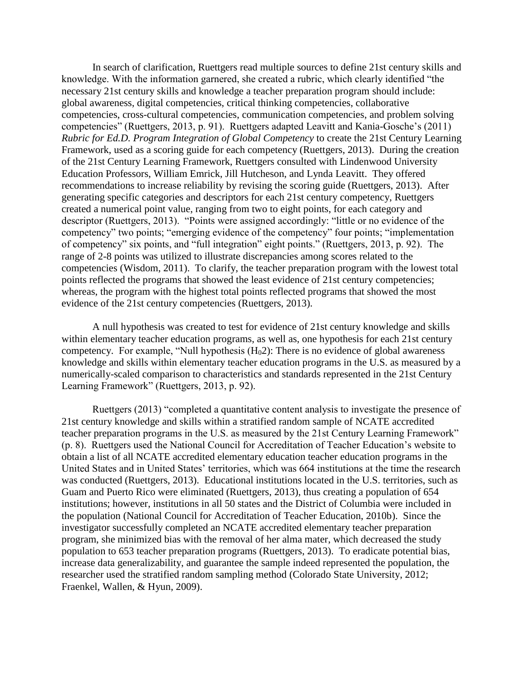In search of clarification, Ruettgers read multiple sources to define 21st century skills and knowledge. With the information garnered, she created a rubric, which clearly identified "the necessary 21st century skills and knowledge a teacher preparation program should include: global awareness, digital competencies, critical thinking competencies, collaborative competencies, cross-cultural competencies, communication competencies, and problem solving competencies" (Ruettgers, 2013, p. 91). Ruettgers adapted Leavitt and Kania-Gosche's (2011) *Rubric for Ed.D. Program Integration of Global Competency* to create the 21st Century Learning Framework, used as a scoring guide for each competency (Ruettgers, 2013). During the creation of the 21st Century Learning Framework, Ruettgers consulted with Lindenwood University Education Professors, William Emrick, Jill Hutcheson, and Lynda Leavitt. They offered recommendations to increase reliability by revising the scoring guide (Ruettgers, 2013). After generating specific categories and descriptors for each 21st century competency, Ruettgers created a numerical point value, ranging from two to eight points, for each category and descriptor (Ruettgers, 2013). "Points were assigned accordingly: "little or no evidence of the competency" two points; "emerging evidence of the competency" four points; "implementation of competency" six points, and "full integration" eight points." (Ruettgers, 2013, p. 92). The range of 2-8 points was utilized to illustrate discrepancies among scores related to the competencies (Wisdom, 2011). To clarify, the teacher preparation program with the lowest total points reflected the programs that showed the least evidence of 21st century competencies; whereas, the program with the highest total points reflected programs that showed the most evidence of the 21st century competencies (Ruettgers, 2013).

A null hypothesis was created to test for evidence of 21st century knowledge and skills within elementary teacher education programs, as well as, one hypothesis for each 21st century competency. For example, "Null hypothesis  $(H<sub>0</sub>2)$ : There is no evidence of global awareness knowledge and skills within elementary teacher education programs in the U.S. as measured by a numerically-scaled comparison to characteristics and standards represented in the 21st Century Learning Framework" (Ruettgers, 2013, p. 92).

Ruettgers (2013) "completed a quantitative content analysis to investigate the presence of 21st century knowledge and skills within a stratified random sample of NCATE accredited teacher preparation programs in the U.S. as measured by the 21st Century Learning Framework" (p. 8). Ruettgers used the National Council for Accreditation of Teacher Education's website to obtain a list of all NCATE accredited elementary education teacher education programs in the United States and in United States' territories, which was 664 institutions at the time the research was conducted (Ruettgers, 2013). Educational institutions located in the U.S. territories, such as Guam and Puerto Rico were eliminated (Ruettgers, 2013), thus creating a population of 654 institutions; however, institutions in all 50 states and the District of Columbia were included in the population (National Council for Accreditation of Teacher Education, 2010b). Since the investigator successfully completed an NCATE accredited elementary teacher preparation program, she minimized bias with the removal of her alma mater, which decreased the study population to 653 teacher preparation programs (Ruettgers, 2013). To eradicate potential bias, increase data generalizability, and guarantee the sample indeed represented the population, the researcher used the stratified random sampling method (Colorado State University, 2012; Fraenkel, Wallen, & Hyun, 2009).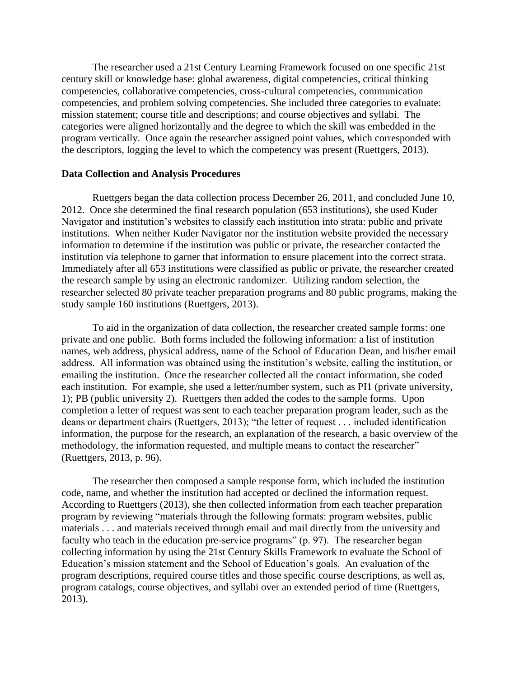The researcher used a 21st Century Learning Framework focused on one specific 21st century skill or knowledge base: global awareness, digital competencies, critical thinking competencies, collaborative competencies, cross-cultural competencies, communication competencies, and problem solving competencies. She included three categories to evaluate: mission statement; course title and descriptions; and course objectives and syllabi. The categories were aligned horizontally and the degree to which the skill was embedded in the program vertically. Once again the researcher assigned point values, which corresponded with the descriptors, logging the level to which the competency was present (Ruettgers, 2013).

#### **Data Collection and Analysis Procedures**

Ruettgers began the data collection process December 26, 2011, and concluded June 10, 2012. Once she determined the final research population (653 institutions), she used Kuder Navigator and institution's websites to classify each institution into strata: public and private institutions. When neither Kuder Navigator nor the institution website provided the necessary information to determine if the institution was public or private, the researcher contacted the institution via telephone to garner that information to ensure placement into the correct strata. Immediately after all 653 institutions were classified as public or private, the researcher created the research sample by using an electronic randomizer. Utilizing random selection, the researcher selected 80 private teacher preparation programs and 80 public programs, making the study sample 160 institutions (Ruettgers, 2013).

To aid in the organization of data collection, the researcher created sample forms: one private and one public. Both forms included the following information: a list of institution names, web address, physical address, name of the School of Education Dean, and his/her email address. All information was obtained using the institution's website, calling the institution, or emailing the institution. Once the researcher collected all the contact information, she coded each institution. For example, she used a letter/number system, such as PI1 (private university, 1); PB (public university 2). Ruettgers then added the codes to the sample forms. Upon completion a letter of request was sent to each teacher preparation program leader, such as the deans or department chairs (Ruettgers, 2013); "the letter of request . . . included identification information, the purpose for the research, an explanation of the research, a basic overview of the methodology, the information requested, and multiple means to contact the researcher" (Ruettgers, 2013, p. 96).

The researcher then composed a sample response form, which included the institution code, name, and whether the institution had accepted or declined the information request. According to Ruettgers (2013), she then collected information from each teacher preparation program by reviewing "materials through the following formats: program websites, public materials . . . and materials received through email and mail directly from the university and faculty who teach in the education pre-service programs" (p. 97). The researcher began collecting information by using the 21st Century Skills Framework to evaluate the School of Education's mission statement and the School of Education's goals. An evaluation of the program descriptions, required course titles and those specific course descriptions, as well as, program catalogs, course objectives, and syllabi over an extended period of time (Ruettgers, 2013).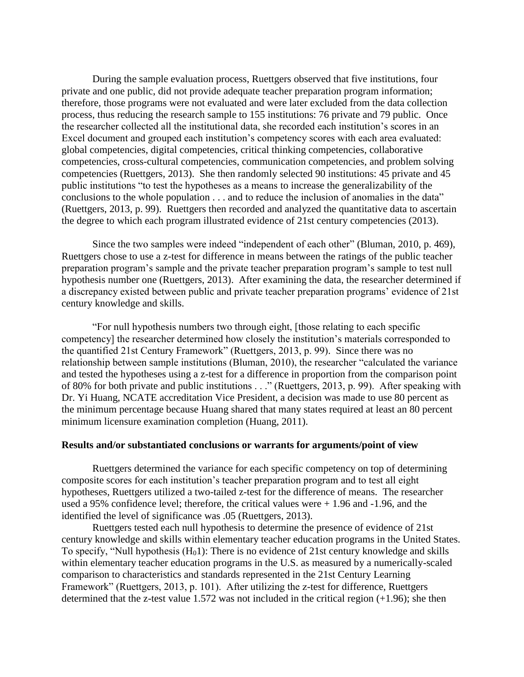During the sample evaluation process, Ruettgers observed that five institutions, four private and one public, did not provide adequate teacher preparation program information; therefore, those programs were not evaluated and were later excluded from the data collection process, thus reducing the research sample to 155 institutions: 76 private and 79 public. Once the researcher collected all the institutional data, she recorded each institution's scores in an Excel document and grouped each institution's competency scores with each area evaluated: global competencies, digital competencies, critical thinking competencies, collaborative competencies, cross-cultural competencies, communication competencies, and problem solving competencies (Ruettgers, 2013). She then randomly selected 90 institutions: 45 private and 45 public institutions "to test the hypotheses as a means to increase the generalizability of the conclusions to the whole population . . . and to reduce the inclusion of anomalies in the data" (Ruettgers, 2013, p. 99). Ruettgers then recorded and analyzed the quantitative data to ascertain the degree to which each program illustrated evidence of 21st century competencies (2013).

Since the two samples were indeed "independent of each other" (Bluman, 2010, p. 469), Ruettgers chose to use a z-test for difference in means between the ratings of the public teacher preparation program's sample and the private teacher preparation program's sample to test null hypothesis number one (Ruettgers, 2013). After examining the data, the researcher determined if a discrepancy existed between public and private teacher preparation programs' evidence of 21st century knowledge and skills.

"For null hypothesis numbers two through eight, [those relating to each specific competency] the researcher determined how closely the institution's materials corresponded to the quantified 21st Century Framework" (Ruettgers, 2013, p. 99). Since there was no relationship between sample institutions (Bluman, 2010), the researcher "calculated the variance and tested the hypotheses using a z-test for a difference in proportion from the comparison point of 80% for both private and public institutions . . ." (Ruettgers, 2013, p. 99). After speaking with Dr. Yi Huang, NCATE accreditation Vice President, a decision was made to use 80 percent as the minimum percentage because Huang shared that many states required at least an 80 percent minimum licensure examination completion (Huang, 2011).

#### **Results and/or substantiated conclusions or warrants for arguments/point of view**

Ruettgers determined the variance for each specific competency on top of determining composite scores for each institution's teacher preparation program and to test all eight hypotheses, Ruettgers utilized a two-tailed z-test for the difference of means. The researcher used a 95% confidence level; therefore, the critical values were  $+1.96$  and  $-1.96$ , and the identified the level of significance was .05 (Ruettgers, 2013).

Ruettgers tested each null hypothesis to determine the presence of evidence of 21st century knowledge and skills within elementary teacher education programs in the United States. To specify, "Null hypothesis  $(H<sub>0</sub>1)$ : There is no evidence of 21st century knowledge and skills within elementary teacher education programs in the U.S. as measured by a numerically-scaled comparison to characteristics and standards represented in the 21st Century Learning Framework" (Ruettgers, 2013, p. 101). After utilizing the z-test for difference, Ruettgers determined that the z-test value 1.572 was not included in the critical region (+1.96); she then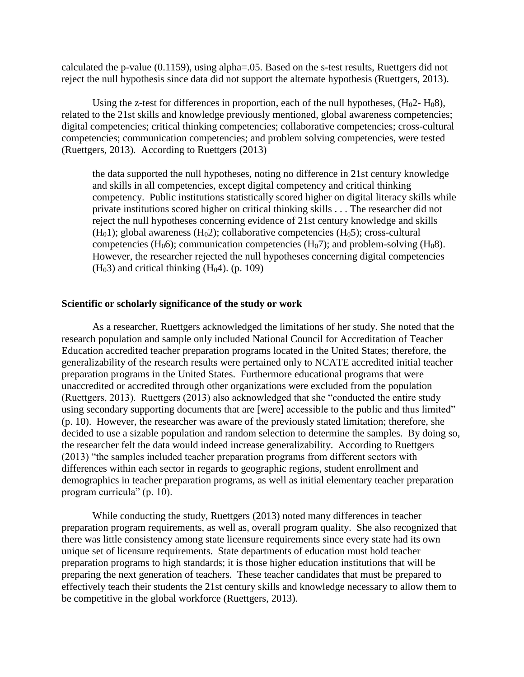calculated the p-value (0.1159), using alpha=.05. Based on the s-test results, Ruettgers did not reject the null hypothesis since data did not support the alternate hypothesis (Ruettgers, 2013).

Using the z-test for differences in proportion, each of the null hypotheses,  $(H_02 - H_08)$ , related to the 21st skills and knowledge previously mentioned, global awareness competencies; digital competencies; critical thinking competencies; collaborative competencies; cross-cultural competencies; communication competencies; and problem solving competencies, were tested (Ruettgers, 2013). According to Ruettgers (2013)

the data supported the null hypotheses, noting no difference in 21st century knowledge and skills in all competencies, except digital competency and critical thinking competency. Public institutions statistically scored higher on digital literacy skills while private institutions scored higher on critical thinking skills . . . The researcher did not reject the null hypotheses concerning evidence of 21st century knowledge and skills  $(H<sub>0</sub>1)$ ; global awareness  $(H<sub>0</sub>2)$ ; collaborative competencies  $(H<sub>0</sub>5)$ ; cross-cultural competencies (H<sub>0</sub>6); communication competencies (H<sub>0</sub>7); and problem-solving (H<sub>0</sub>8). However, the researcher rejected the null hypotheses concerning digital competencies  $(H<sub>0</sub>3)$  and critical thinking  $(H<sub>0</sub>4)$ . (p. 109)

#### **Scientific or scholarly significance of the study or work**

As a researcher, Ruettgers acknowledged the limitations of her study. She noted that the research population and sample only included National Council for Accreditation of Teacher Education accredited teacher preparation programs located in the United States; therefore, the generalizability of the research results were pertained only to NCATE accredited initial teacher preparation programs in the United States. Furthermore educational programs that were unaccredited or accredited through other organizations were excluded from the population (Ruettgers, 2013). Ruettgers (2013) also acknowledged that she "conducted the entire study using secondary supporting documents that are [were] accessible to the public and thus limited" (p. 10). However, the researcher was aware of the previously stated limitation; therefore, she decided to use a sizable population and random selection to determine the samples. By doing so, the researcher felt the data would indeed increase generalizability. According to Ruettgers (2013) "the samples included teacher preparation programs from different sectors with differences within each sector in regards to geographic regions, student enrollment and demographics in teacher preparation programs, as well as initial elementary teacher preparation program curricula" (p. 10).

While conducting the study, Ruettgers (2013) noted many differences in teacher preparation program requirements, as well as, overall program quality. She also recognized that there was little consistency among state licensure requirements since every state had its own unique set of licensure requirements. State departments of education must hold teacher preparation programs to high standards; it is those higher education institutions that will be preparing the next generation of teachers. These teacher candidates that must be prepared to effectively teach their students the 21st century skills and knowledge necessary to allow them to be competitive in the global workforce (Ruettgers, 2013).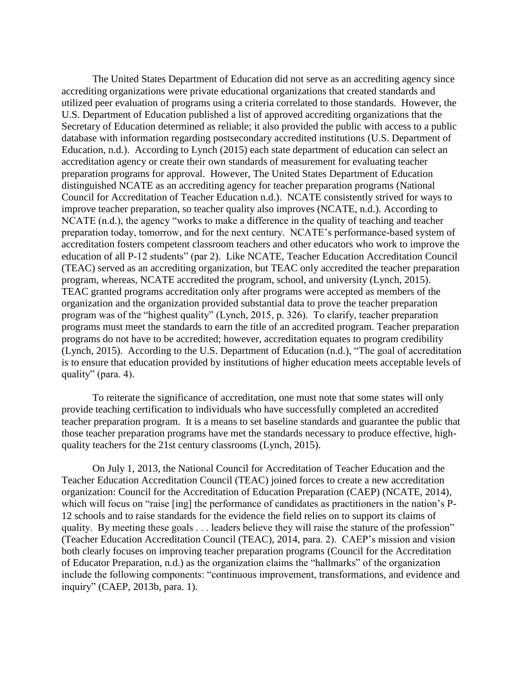The United States Department of Education did not serve as an accrediting agency since accrediting organizations were private educational organizations that created standards and utilized peer evaluation of programs using a criteria correlated to those standards. However, the U.S. Department of Education published a list of approved accrediting organizations that the Secretary of Education determined as reliable; it also provided the public with access to a public database with information regarding postsecondary accredited institutions (U.S. Department of Education, n.d.). According to Lynch (2015) each state department of education can select an accreditation agency or create their own standards of measurement for evaluating teacher preparation programs for approval. However, The United States Department of Education distinguished NCATE as an accrediting agency for teacher preparation programs (National Council for Accreditation of Teacher Education n.d.). NCATE consistently strived for ways to improve teacher preparation, so teacher quality also improves (NCATE, n.d.). According to NCATE (n.d.), the agency "works to make a difference in the quality of teaching and teacher preparation today, tomorrow, and for the next century. NCATE's performance-based system of accreditation fosters competent classroom teachers and other educators who work to improve the education of all P-12 students" (par 2). Like NCATE, Teacher Education Accreditation Council (TEAC) served as an accrediting organization, but TEAC only accredited the teacher preparation program, whereas, NCATE accredited the program, school, and university (Lynch, 2015). TEAC granted programs accreditation only after programs were accepted as members of the organization and the organization provided substantial data to prove the teacher preparation program was of the "highest quality" (Lynch, 2015, p. 326). To clarify, teacher preparation programs must meet the standards to earn the title of an accredited program. Teacher preparation programs do not have to be accredited; however, accreditation equates to program credibility (Lynch, 2015). According to the U.S. Department of Education (n.d.), "The goal of accreditation is to ensure that education provided by institutions of higher education meets acceptable levels of quality" (para. 4).

To reiterate the significance of accreditation, one must note that some states will only provide teaching certification to individuals who have successfully completed an accredited teacher preparation program. It is a means to set baseline standards and guarantee the public that those teacher preparation programs have met the standards necessary to produce effective, highquality teachers for the 21st century classrooms (Lynch, 2015).

On July 1, 2013, the National Council for Accreditation of Teacher Education and the Teacher Education Accreditation Council (TEAC) joined forces to create a new accreditation organization: Council for the Accreditation of Education Preparation (CAEP) (NCATE, 2014), which will focus on "raise [ing] the performance of candidates as practitioners in the nation's P-12 schools and to raise standards for the evidence the field relies on to support its claims of quality. By meeting these goals . . . leaders believe they will raise the stature of the profession" (Teacher Education Accreditation Council (TEAC), 2014, para. 2). CAEP's mission and vision both clearly focuses on improving teacher preparation programs (Council for the Accreditation of Educator Preparation, n.d.) as the organization claims the "hallmarks" of the organization include the following components: "continuous improvement, transformations, and evidence and inquiry" (CAEP, 2013b, para. 1).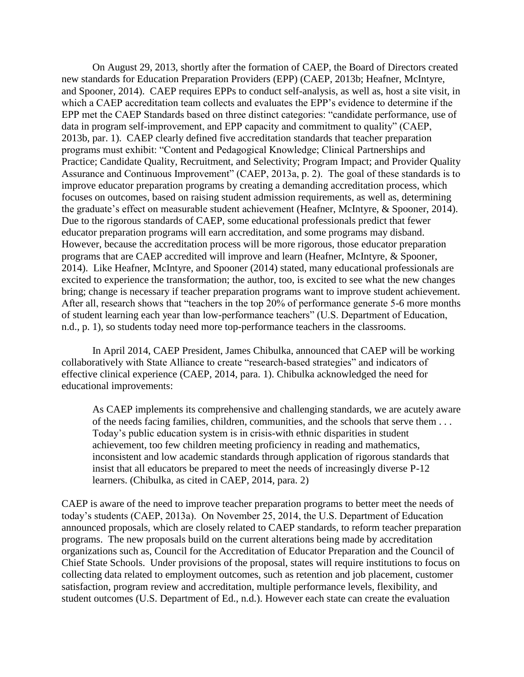On August 29, 2013, shortly after the formation of CAEP, the Board of Directors created new standards for Education Preparation Providers (EPP) (CAEP, 2013b; Heafner, McIntyre, and Spooner, 2014). CAEP requires EPPs to conduct self-analysis, as well as, host a site visit, in which a CAEP accreditation team collects and evaluates the EPP's evidence to determine if the EPP met the CAEP Standards based on three distinct categories: "candidate performance, use of data in program self-improvement, and EPP capacity and commitment to quality" (CAEP, 2013b, par. 1). CAEP clearly defined five accreditation standards that teacher preparation programs must exhibit: "Content and Pedagogical Knowledge; Clinical Partnerships and Practice; Candidate Quality, Recruitment, and Selectivity; Program Impact; and Provider Quality Assurance and Continuous Improvement" (CAEP, 2013a, p. 2). The goal of these standards is to improve educator preparation programs by creating a demanding accreditation process, which focuses on outcomes, based on raising student admission requirements, as well as, determining the graduate's effect on measurable student achievement (Heafner, McIntyre, & Spooner, 2014). Due to the rigorous standards of CAEP, some educational professionals predict that fewer educator preparation programs will earn accreditation, and some programs may disband. However, because the accreditation process will be more rigorous, those educator preparation programs that are CAEP accredited will improve and learn (Heafner, McIntyre, & Spooner, 2014). Like Heafner, McIntyre, and Spooner (2014) stated, many educational professionals are excited to experience the transformation; the author, too, is excited to see what the new changes bring; change is necessary if teacher preparation programs want to improve student achievement. After all, research shows that "teachers in the top 20% of performance generate 5-6 more months of student learning each year than low-performance teachers" (U.S. Department of Education, n.d., p. 1), so students today need more top-performance teachers in the classrooms.

In April 2014, CAEP President, James Chibulka, announced that CAEP will be working collaboratively with State Alliance to create "research-based strategies" and indicators of effective clinical experience (CAEP, 2014, para. 1). Chibulka acknowledged the need for educational improvements:

As CAEP implements its comprehensive and challenging standards, we are acutely aware of the needs facing families, children, communities, and the schools that serve them . . . Today's public education system is in crisis-with ethnic disparities in student achievement, too few children meeting proficiency in reading and mathematics, inconsistent and low academic standards through application of rigorous standards that insist that all educators be prepared to meet the needs of increasingly diverse P-12 learners. (Chibulka, as cited in CAEP, 2014, para. 2)

CAEP is aware of the need to improve teacher preparation programs to better meet the needs of today's students (CAEP, 2013a). On November 25, 2014, the U.S. Department of Education announced proposals, which are closely related to CAEP standards, to reform teacher preparation programs. The new proposals build on the current alterations being made by accreditation organizations such as, Council for the Accreditation of Educator Preparation and the Council of Chief State Schools. Under provisions of the proposal, states will require institutions to focus on collecting data related to employment outcomes, such as retention and job placement, customer satisfaction, program review and accreditation, multiple performance levels, flexibility, and student outcomes (U.S. Department of Ed., n.d.). However each state can create the evaluation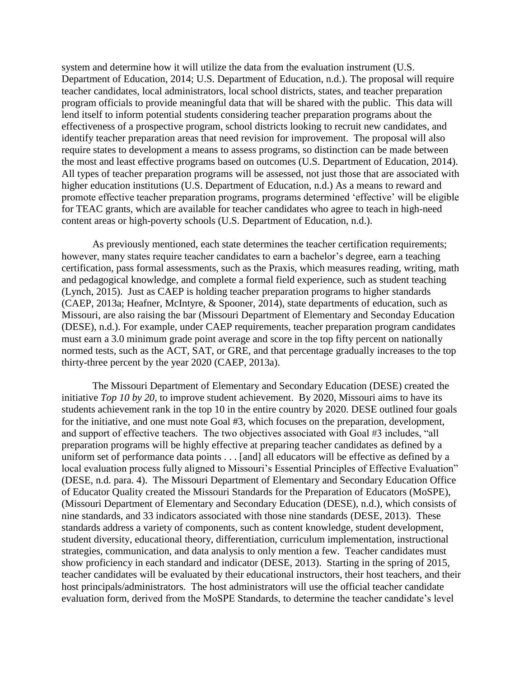system and determine how it will utilize the data from the evaluation instrument (U.S. Department of Education, 2014; U.S. Department of Education, n.d.). The proposal will require teacher candidates, local administrators, local school districts, states, and teacher preparation program officials to provide meaningful data that will be shared with the public. This data will lend itself to inform potential students considering teacher preparation programs about the effectiveness of a prospective program, school districts looking to recruit new candidates, and identify teacher preparation areas that need revision for improvement. The proposal will also require states to development a means to assess programs, so distinction can be made between the most and least effective programs based on outcomes (U.S. Department of Education, 2014). All types of teacher preparation programs will be assessed, not just those that are associated with higher education institutions (U.S. Department of Education, n.d.) As a means to reward and promote effective teacher preparation programs, programs determined 'effective' will be eligible for TEAC grants, which are available for teacher candidates who agree to teach in high-need content areas or high-poverty schools (U.S. Department of Education, n.d.).

As previously mentioned, each state determines the teacher certification requirements; however, many states require teacher candidates to earn a bachelor's degree, earn a teaching certification, pass formal assessments, such as the Praxis, which measures reading, writing, math and pedagogical knowledge, and complete a formal field experience, such as student teaching (Lynch, 2015). Just as CAEP is holding teacher preparation programs to higher standards (CAEP, 2013a; Heafner, McIntyre, & Spooner, 2014), state departments of education, such as Missouri, are also raising the bar (Missouri Department of Elementary and Seconday Education (DESE), n.d.). For example, under CAEP requirements, teacher preparation program candidates must earn a 3.0 minimum grade point average and score in the top fifty percent on nationally normed tests, such as the ACT, SAT, or GRE, and that percentage gradually increases to the top thirty-three percent by the year 2020 (CAEP, 2013a).

The Missouri Department of Elementary and Secondary Education (DESE) created the initiative *Top 10 by 20*, to improve student achievement. By 2020, Missouri aims to have its students achievement rank in the top 10 in the entire country by 2020. DESE outlined four goals for the initiative, and one must note Goal #3, which focuses on the preparation, development, and support of effective teachers. The two objectives associated with Goal #3 includes, "all preparation programs will be highly effective at preparing teacher candidates as defined by a uniform set of performance data points . . . [and] all educators will be effective as defined by a local evaluation process fully aligned to Missouri's Essential Principles of Effective Evaluation" (DESE, n.d. para. 4). The Missouri Department of Elementary and Secondary Education Office of Educator Quality created the Missouri Standards for the Preparation of Educators (MoSPE), (Missouri Department of Elementary and Secondary Education (DESE), n.d.), which consists of nine standards, and 33 indicators associated with those nine standards (DESE, 2013). These standards address a variety of components, such as content knowledge, student development, student diversity, educational theory, differentiation, curriculum implementation, instructional strategies, communication, and data analysis to only mention a few. Teacher candidates must show proficiency in each standard and indicator (DESE, 2013). Starting in the spring of 2015, teacher candidates will be evaluated by their educational instructors, their host teachers, and their host principals/administrators. The host administrators will use the official teacher candidate evaluation form, derived from the MoSPE Standards, to determine the teacher candidate's level